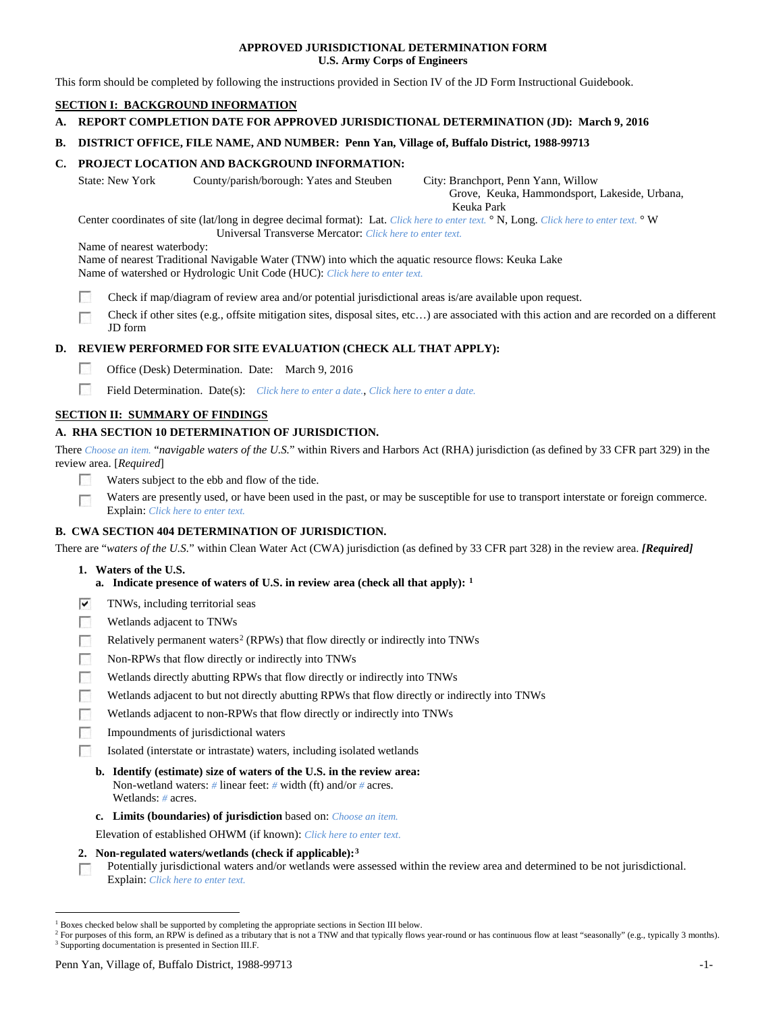### **APPROVED JURISDICTIONAL DETERMINATION FORM U.S. Army Corps of Engineers**

This form should be completed by following the instructions provided in Section IV of the JD Form Instructional Guidebook.

## **SECTION I: BACKGROUND INFORMATION**

- **A. REPORT COMPLETION DATE FOR APPROVED JURISDICTIONAL DETERMINATION (JD): March 9, 2016**
- **B. DISTRICT OFFICE, FILE NAME, AND NUMBER: Penn Yan, Village of, Buffalo District, 1988-99713**

### **C. PROJECT LOCATION AND BACKGROUND INFORMATION:**

State: New York County/parish/borough: Yates and Steuben City: Branchport, Penn Yann, Willow

 Grove, Keuka, Hammondsport, Lakeside, Urbana, Keuka Park

Center coordinates of site (lat/long in degree decimal format): Lat. *Click here to enter text.* ° N, Long. *Click here to enter text.* ° W Universal Transverse Mercator: *Click here to enter text.*

Name of nearest waterbody:

Name of nearest Traditional Navigable Water (TNW) into which the aquatic resource flows: Keuka Lake Name of watershed or Hydrologic Unit Code (HUC): *Click here to enter text.*

- T Check if map/diagram of review area and/or potential jurisdictional areas is/are available upon request.
- Check if other sites (e.g., offsite mitigation sites, disposal sites, etc…) are associated with this action and are recorded on a different JD form

### **D. REVIEW PERFORMED FOR SITE EVALUATION (CHECK ALL THAT APPLY):**

- 55 Office (Desk) Determination. Date: March 9, 2016
- $\overline{a}$ Field Determination. Date(s): *Click here to enter a date.*, *Click here to enter a date.*

# **SECTION II: SUMMARY OF FINDINGS**

### **A. RHA SECTION 10 DETERMINATION OF JURISDICTION.**

There *Choose an item.* "*navigable waters of the U.S.*" within Rivers and Harbors Act (RHA) jurisdiction (as defined by 33 CFR part 329) in the review area. [*Required*]

- Waters subject to the ebb and flow of the tide.
- Waters are presently used, or have been used in the past, or may be susceptible for use to transport interstate or foreign commerce. Explain: *Click here to enter text.*

### **B. CWA SECTION 404 DETERMINATION OF JURISDICTION.**

There are "*waters of the U.S.*" within Clean Water Act (CWA) jurisdiction (as defined by 33 CFR part 328) in the review area. *[Required]*

- **1. Waters of the U.S.**
- **a. Indicate presence of waters of U.S. in review area (check all that apply): [1](#page-0-0)**
- ⊽ TNWs, including territorial seas
- **FRI** Wetlands adjacent to TNWs
- Е Relatively permanent waters<sup>[2](#page-0-1)</sup> (RPWs) that flow directly or indirectly into TNWs
- $\sim$ Non-RPWs that flow directly or indirectly into TNWs
- **FO** Wetlands directly abutting RPWs that flow directly or indirectly into TNWs
- Wetlands adjacent to but not directly abutting RPWs that flow directly or indirectly into TNWs
- **Table** Wetlands adjacent to non-RPWs that flow directly or indirectly into TNWs
- Impoundments of jurisdictional waters **100**
- 50 Isolated (interstate or intrastate) waters, including isolated wetlands
	- **b. Identify (estimate) size of waters of the U.S. in the review area:** Non-wetland waters: *#* linear feet: *#* width (ft) and/or *#* acres. Wetlands: *#* acres.
	- **c. Limits (boundaries) of jurisdiction** based on: *Choose an item.*

Elevation of established OHWM (if known): *Click here to enter text.*

- **2. Non-regulated waters/wetlands (check if applicable):[3](#page-0-2)**
- Potentially jurisdictional waters and/or wetlands were assessed within the review area and determined to be not jurisdictional.  $\overline{a}$ Explain: *Click here to enter text.*

<span id="page-0-0"></span> <sup>1</sup> Boxes checked below shall be supported by completing the appropriate sections in Section III below.

<span id="page-0-2"></span><span id="page-0-1"></span><sup>&</sup>lt;sup>2</sup> For purposes of this form, an RPW is defined as a tributary that is not a TNW and that typically flows year-round or has continuous flow at least "seasonally" (e.g., typically 3 months). <sup>3</sup> Supporting documentation is presented in Section III.F.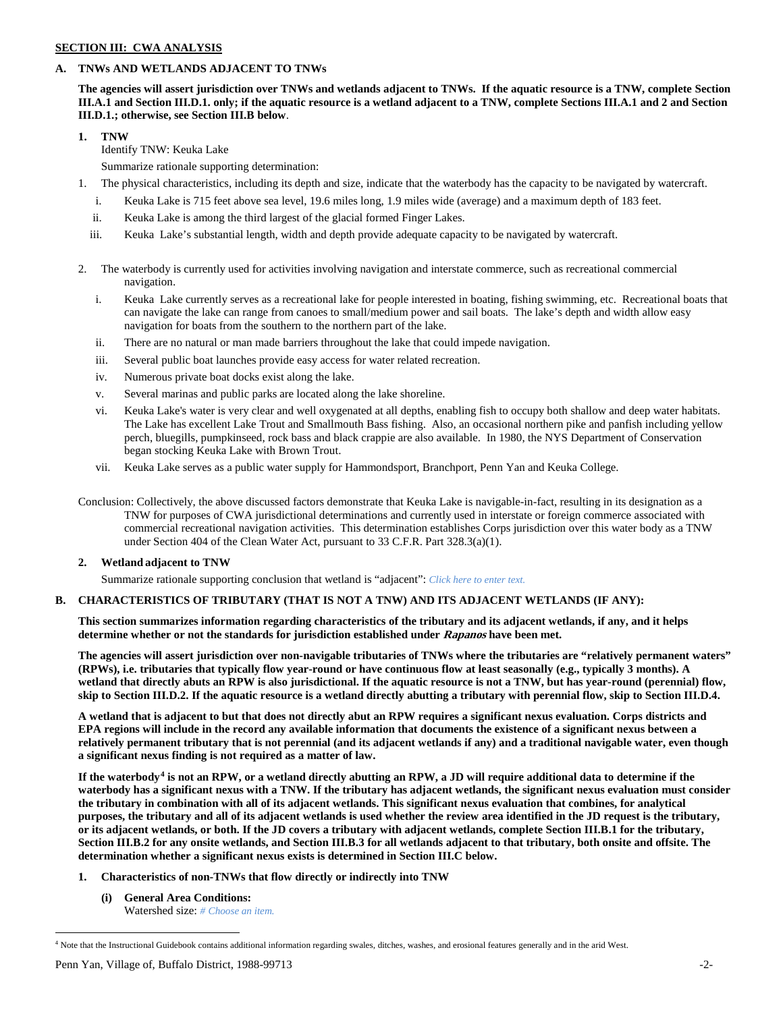### **SECTION III: CWA ANALYSIS**

### **A. TNWs AND WETLANDS ADJACENT TO TNWs**

**The agencies will assert jurisdiction over TNWs and wetlands adjacent to TNWs. If the aquatic resource is a TNW, complete Section III.A.1 and Section III.D.1. only; if the aquatic resource is a wetland adjacent to a TNW, complete Sections III.A.1 and 2 and Section III.D.1.; otherwise, see Section III.B below**.

**1. TNW** 

Identify TNW: Keuka Lake

Summarize rationale supporting determination:

- 1. The physical characteristics, including its depth and size, indicate that the waterbody has the capacity to be navigated by watercraft.
	- i. Keuka Lake is 715 feet above sea level, 19.6 miles long, 1.9 miles wide (average) and a maximum depth of 183 feet.
	- ii. Keuka Lake is among the third largest of the glacial formed Finger Lakes.
	- iii. Keuka Lake's substantial length, width and depth provide adequate capacity to be navigated by watercraft.
- 2. The waterbody is currently used for activities involving navigation and interstate commerce, such as recreational commercial navigation.
	- i. Keuka Lake currently serves as a recreational lake for people interested in boating, fishing swimming, etc. Recreational boats that can navigate the lake can range from canoes to small/medium power and sail boats. The lake's depth and width allow easy navigation for boats from the southern to the northern part of the lake.
	- ii. There are no natural or man made barriers throughout the lake that could impede navigation.
	- iii. Several public boat launches provide easy access for water related recreation.
	- iv. Numerous private boat docks exist along the lake.
	- v. Several marinas and public parks are located along the lake shoreline.
	- vi. Keuka Lake's water is very clear and well oxygenated at all depths, enabling fish to occupy both shallow and deep water habitats. The Lake has excellent Lake Trout and Smallmouth Bass fishing. Also, an occasional northern pike and panfish including yellow perch, bluegills, pumpkinseed, rock bass and black crappie are also available. In 1980, the NYS Department of Conservation began stocking Keuka Lake with Brown Trout.
	- vii. Keuka Lake serves as a public water supply for Hammondsport, Branchport, Penn Yan and Keuka College.
- Conclusion: Collectively, the above discussed factors demonstrate that Keuka Lake is navigable-in-fact, resulting in its designation as a TNW for purposes of CWA jurisdictional determinations and currently used in interstate or foreign commerce associated with commercial recreational navigation activities. This determination establishes Corps jurisdiction over this water body as a TNW under Section 404 of the Clean Water Act, pursuant to 33 C.F.R. Part 328.3(a)(1).

#### **2. Wetland adjacent to TNW**

Summarize rationale supporting conclusion that wetland is "adjacent": *Click here to enter text.*

### **B. CHARACTERISTICS OF TRIBUTARY (THAT IS NOT A TNW) AND ITS ADJACENT WETLANDS (IF ANY):**

**This section summarizes information regarding characteristics of the tributary and its adjacent wetlands, if any, and it helps determine whether or not the standards for jurisdiction established under Rapanos have been met.** 

**The agencies will assert jurisdiction over non-navigable tributaries of TNWs where the tributaries are "relatively permanent waters" (RPWs), i.e. tributaries that typically flow year-round or have continuous flow at least seasonally (e.g., typically 3 months). A wetland that directly abuts an RPW is also jurisdictional. If the aquatic resource is not a TNW, but has year-round (perennial) flow, skip to Section III.D.2. If the aquatic resource is a wetland directly abutting a tributary with perennial flow, skip to Section III.D.4.**

**A wetland that is adjacent to but that does not directly abut an RPW requires a significant nexus evaluation. Corps districts and EPA regions will include in the record any available information that documents the existence of a significant nexus between a relatively permanent tributary that is not perennial (and its adjacent wetlands if any) and a traditional navigable water, even though a significant nexus finding is not required as a matter of law.**

**If the waterbody[4](#page-1-0) is not an RPW, or a wetland directly abutting an RPW, a JD will require additional data to determine if the waterbody has a significant nexus with a TNW. If the tributary has adjacent wetlands, the significant nexus evaluation must consider the tributary in combination with all of its adjacent wetlands. This significant nexus evaluation that combines, for analytical purposes, the tributary and all of its adjacent wetlands is used whether the review area identified in the JD request is the tributary, or its adjacent wetlands, or both. If the JD covers a tributary with adjacent wetlands, complete Section III.B.1 for the tributary, Section III.B.2 for any onsite wetlands, and Section III.B.3 for all wetlands adjacent to that tributary, both onsite and offsite. The determination whether a significant nexus exists is determined in Section III.C below.**

- **1. Characteristics of non-TNWs that flow directly or indirectly into TNW**
	- **(i) General Area Conditions:** Watershed size: *# Choose an item.*

<span id="page-1-0"></span><sup>&</sup>lt;sup>4</sup> Note that the Instructional Guidebook contains additional information regarding swales, ditches, washes, and erosional features generally and in the arid West.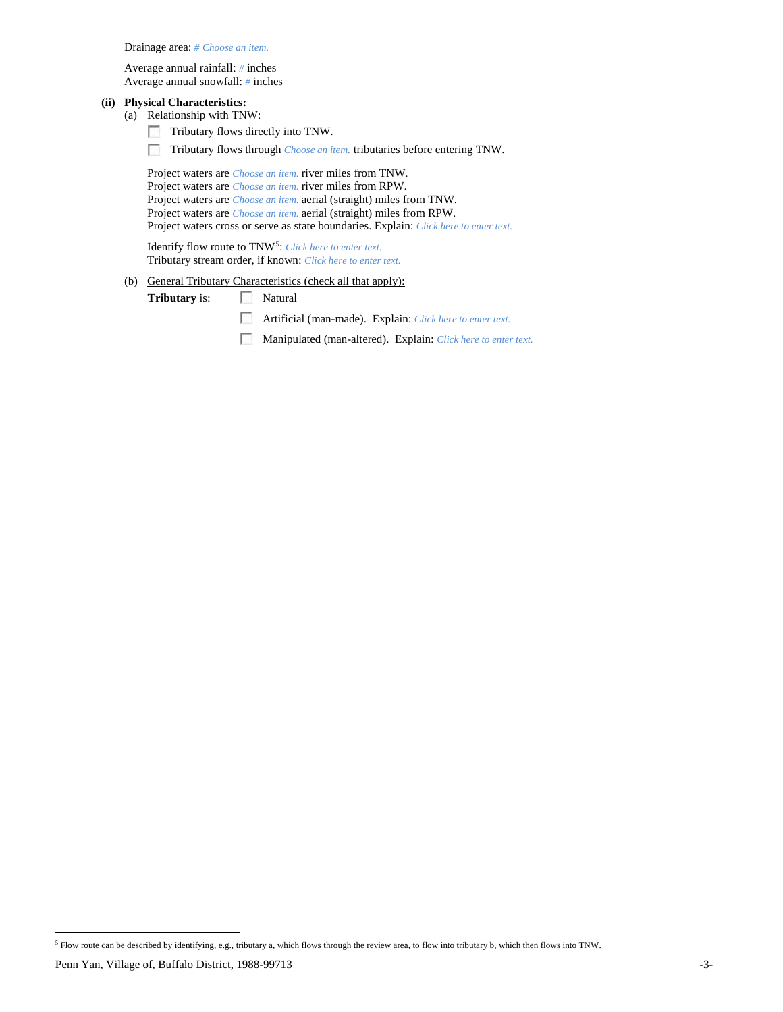Drainage area: *# Choose an item.*

Average annual rainfall: *#* inches Average annual snowfall: *#* inches

# **(ii) Physical Characteristics:**

- (a) Relationship with TNW:
	- $\sim$ Tributary flows directly into TNW.
	- $\mathcal{L}_{\rm{eff}}$ Tributary flows through *Choose an item.* tributaries before entering TNW.

Project waters are *Choose an item.* river miles from TNW. Project waters are *Choose an item.* river miles from RPW. Project waters are *Choose an item.* aerial (straight) miles from TNW. Project waters are *Choose an item.* aerial (straight) miles from RPW. Project waters cross or serve as state boundaries. Explain: *Click here to enter text.*

Identify flow route to TNW[5:](#page-2-0) *Click here to enter text.* Tributary stream order, if known: *Click here to enter text.*

(b) General Tributary Characteristics (check all that apply):

**Tributary** is: Natural

- Artificial (man-made). Explain: *Click here to enter text.*
- Manipulated (man-altered). Explain: *Click here to enter text.*

<span id="page-2-0"></span> <sup>5</sup> Flow route can be described by identifying, e.g., tributary a, which flows through the review area, to flow into tributary b, which then flows into TNW.

Penn Yan, Village of, Buffalo District, 1988-99713 -3-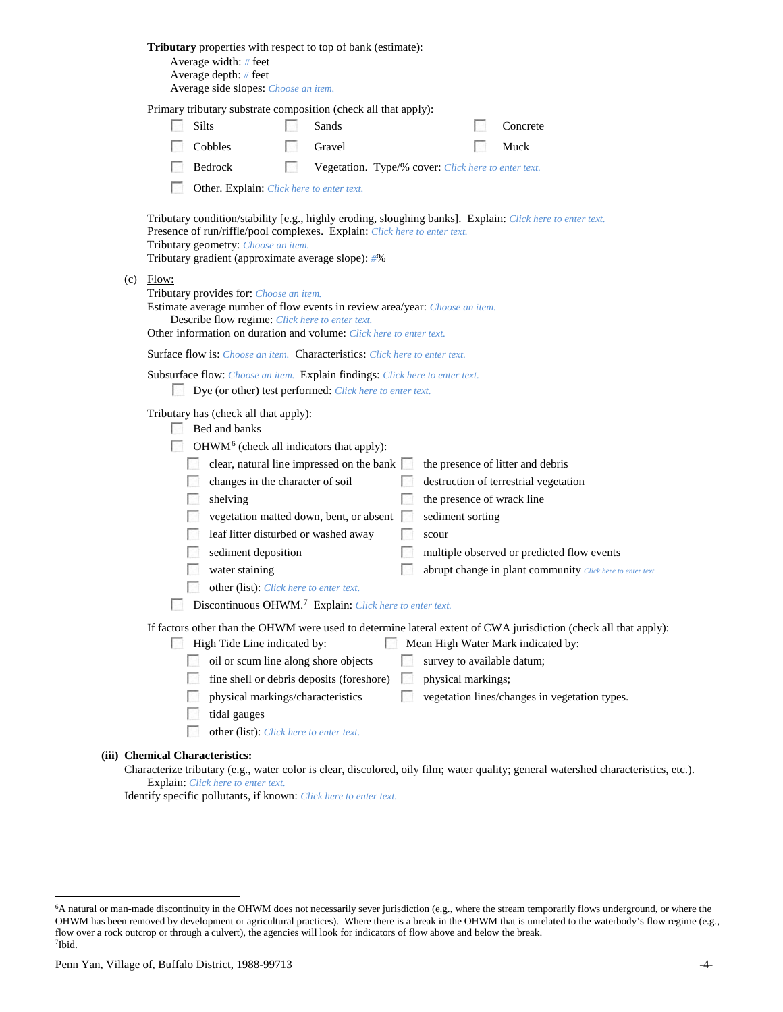|                                 | Tributary properties with respect to top of bank (estimate):<br>Average width: # feet<br>Average depth: # feet<br>Average side slopes: Choose an item.                                                                                                                                                                                                                                                                                                                                                                                                                                                                                                                                                           |  |  |  |
|---------------------------------|------------------------------------------------------------------------------------------------------------------------------------------------------------------------------------------------------------------------------------------------------------------------------------------------------------------------------------------------------------------------------------------------------------------------------------------------------------------------------------------------------------------------------------------------------------------------------------------------------------------------------------------------------------------------------------------------------------------|--|--|--|
|                                 | Primary tributary substrate composition (check all that apply):                                                                                                                                                                                                                                                                                                                                                                                                                                                                                                                                                                                                                                                  |  |  |  |
|                                 | Silts<br>Sands<br>Concrete                                                                                                                                                                                                                                                                                                                                                                                                                                                                                                                                                                                                                                                                                       |  |  |  |
|                                 | Cobbles<br>Muck<br>Gravel                                                                                                                                                                                                                                                                                                                                                                                                                                                                                                                                                                                                                                                                                        |  |  |  |
|                                 | Bedrock<br><b>B</b><br>Vegetation. Type/% cover: Click here to enter text.                                                                                                                                                                                                                                                                                                                                                                                                                                                                                                                                                                                                                                       |  |  |  |
|                                 | Other. Explain: Click here to enter text.                                                                                                                                                                                                                                                                                                                                                                                                                                                                                                                                                                                                                                                                        |  |  |  |
|                                 | Tributary condition/stability [e.g., highly eroding, sloughing banks]. Explain: Click here to enter text.<br>Presence of run/riffle/pool complexes. Explain: Click here to enter text.<br>Tributary geometry: Choose an item.<br>Tributary gradient (approximate average slope): #%                                                                                                                                                                                                                                                                                                                                                                                                                              |  |  |  |
| (c)                             | Flow:<br>Tributary provides for: Choose an item.<br>Estimate average number of flow events in review area/year: Choose an item.<br>Describe flow regime: Click here to enter text.<br>Other information on duration and volume: Click here to enter text.                                                                                                                                                                                                                                                                                                                                                                                                                                                        |  |  |  |
|                                 | Surface flow is: Choose an item. Characteristics: Click here to enter text.                                                                                                                                                                                                                                                                                                                                                                                                                                                                                                                                                                                                                                      |  |  |  |
|                                 | Subsurface flow: Choose an item. Explain findings: Click here to enter text.<br>Dye (or other) test performed: Click here to enter text.                                                                                                                                                                                                                                                                                                                                                                                                                                                                                                                                                                         |  |  |  |
|                                 | Tributary has (check all that apply):<br>Bed and banks<br>OHWM <sup>6</sup> (check all indicators that apply):<br>clear, natural line impressed on the bank<br>the presence of litter and debris<br>changes in the character of soil<br>destruction of terrestrial vegetation<br>the presence of wrack line<br>shelving<br>vegetation matted down, bent, or absent [<br>sediment sorting<br>leaf litter disturbed or washed away<br>scour<br>sediment deposition<br>multiple observed or predicted flow events<br>water staining<br>abrupt change in plant community Click here to enter text.<br>other (list): Click here to enter text.<br>Discontinuous OHWM. <sup>7</sup> Explain: Click here to enter text. |  |  |  |
|                                 | If factors other than the OHWM were used to determine lateral extent of CWA jurisdiction (check all that apply):                                                                                                                                                                                                                                                                                                                                                                                                                                                                                                                                                                                                 |  |  |  |
|                                 | High Tide Line indicated by:<br>Mean High Water Mark indicated by:                                                                                                                                                                                                                                                                                                                                                                                                                                                                                                                                                                                                                                               |  |  |  |
|                                 | oil or scum line along shore objects<br>survey to available datum;                                                                                                                                                                                                                                                                                                                                                                                                                                                                                                                                                                                                                                               |  |  |  |
|                                 | fine shell or debris deposits (foreshore)<br>physical markings;                                                                                                                                                                                                                                                                                                                                                                                                                                                                                                                                                                                                                                                  |  |  |  |
|                                 | vegetation lines/changes in vegetation types.<br>physical markings/characteristics                                                                                                                                                                                                                                                                                                                                                                                                                                                                                                                                                                                                                               |  |  |  |
|                                 | tidal gauges                                                                                                                                                                                                                                                                                                                                                                                                                                                                                                                                                                                                                                                                                                     |  |  |  |
|                                 | other (list): Click here to enter text.                                                                                                                                                                                                                                                                                                                                                                                                                                                                                                                                                                                                                                                                          |  |  |  |
| (iii) Chemical Characteristics: |                                                                                                                                                                                                                                                                                                                                                                                                                                                                                                                                                                                                                                                                                                                  |  |  |  |
|                                 | Characterize tributary (e.g., water color is clear, discolored, oily film; water quality; general watershed characteristics, etc.).<br>Explain: Click here to enter text.                                                                                                                                                                                                                                                                                                                                                                                                                                                                                                                                        |  |  |  |

Identify specific pollutants, if known: *Click here to enter text.*

<span id="page-3-1"></span><span id="page-3-0"></span> <sup>6</sup> <sup>6</sup>A natural or man-made discontinuity in the OHWM does not necessarily sever jurisdiction (e.g., where the stream temporarily flows underground, or where the OHWM has been removed by development or agricultural practices). Where there is a break in the OHWM that is unrelated to the waterbody's flow regime (e.g., flow over a rock outcrop or through a culvert), the agencies will look for indicators of flow above and below the break. 7 Ibid.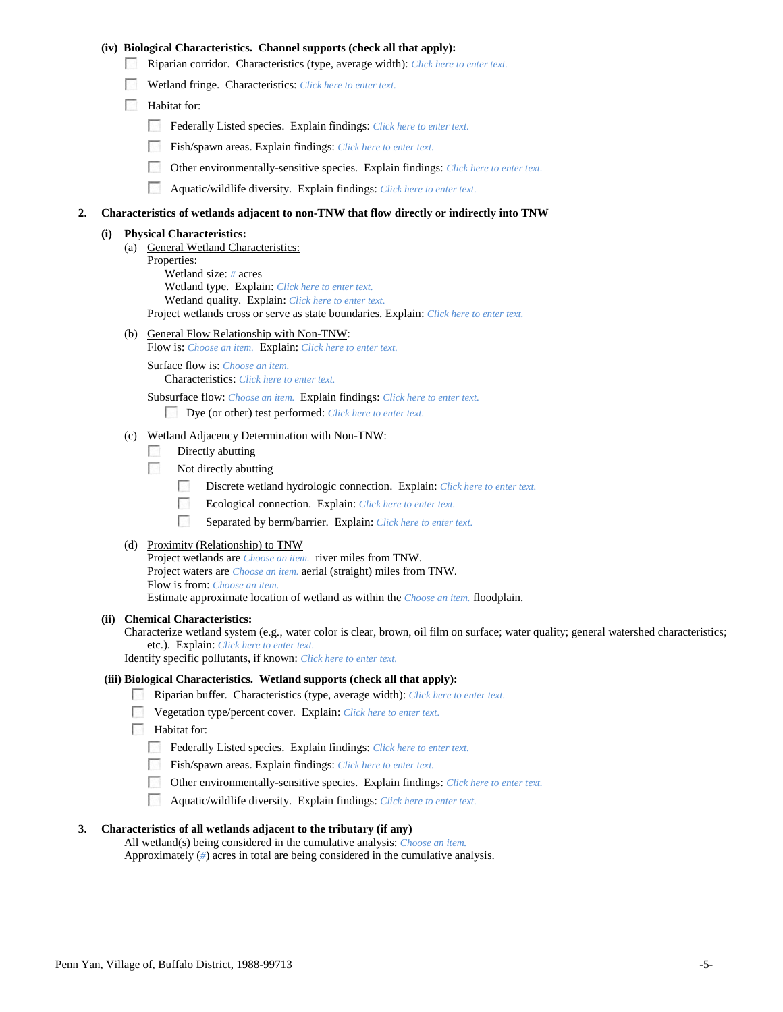### **(iv) Biological Characteristics. Channel supports (check all that apply):**

- Riparian corridor. Characteristics (type, average width): *Click here to enter text.*
- Wetland fringe. Characteristics: *Click here to enter text.*
- Habitat for:
	- Federally Listed species. Explain findings: *Click here to enter text.*
	- Fish/spawn areas. Explain findings: *Click here to enter text.*
	- $\mathcal{L}_{\rm{eff}}$ Other environmentally-sensitive species. Explain findings: *Click here to enter text.*
	- $\mathcal{L}_{\mathcal{D}}$ Aquatic/wildlife diversity. Explain findings: *Click here to enter text.*

#### **2. Characteristics of wetlands adjacent to non-TNW that flow directly or indirectly into TNW**

#### **(i) Physical Characteristics:**

- (a) General Wetland Characteristics: Properties: Wetland size: *#* acres Wetland type. Explain: *Click here to enter text.* Wetland quality. Explain: *Click here to enter text.* Project wetlands cross or serve as state boundaries. Explain: *Click here to enter text.*
- (b) General Flow Relationship with Non-TNW:
	- Flow is: *Choose an item.* Explain: *Click here to enter text.*

Surface flow is: *Choose an item.* Characteristics: *Click here to enter text.*

Subsurface flow: *Choose an item.* Explain findings: *Click here to enter text.*

Dye (or other) test performed: *Click here to enter text.*

### (c) Wetland Adjacency Determination with Non-TNW:

- $\sim$ Directly abutting
- **1999** Not directly abutting
	- $\mathcal{L}_{\rm{eff}}$ Discrete wetland hydrologic connection. Explain: *Click here to enter text.*
	- $\overline{a}$ Ecological connection. Explain: *Click here to enter text.*
	- $\mathcal{L}_{\rm{eff}}$ Separated by berm/barrier. Explain: *Click here to enter text.*
- (d) Proximity (Relationship) to TNW

Project wetlands are *Choose an item.* river miles from TNW. Project waters are *Choose an item.* aerial (straight) miles from TNW. Flow is from: *Choose an item.* Estimate approximate location of wetland as within the *Choose an item.* floodplain.

#### **(ii) Chemical Characteristics:**

Characterize wetland system (e.g., water color is clear, brown, oil film on surface; water quality; general watershed characteristics; etc.). Explain: *Click here to enter text.*

Identify specific pollutants, if known: *Click here to enter text.*

#### **(iii) Biological Characteristics. Wetland supports (check all that apply):**

- Riparian buffer. Characteristics (type, average width): *Click here to enter text.*
- Vegetation type/percent cover. Explain: *Click here to enter text.*
- **Habitat for:** 
	- Federally Listed species. Explain findings: *Click here to enter text*.
	- Fish/spawn areas. Explain findings: *Click here to enter text.*
	- Other environmentally-sensitive species. Explain findings: *Click here to enter text.*
	- Aquatic/wildlife diversity. Explain findings: *Click here to enter text.*

#### **3. Characteristics of all wetlands adjacent to the tributary (if any)**

All wetland(s) being considered in the cumulative analysis: *Choose an item.* Approximately (*#*) acres in total are being considered in the cumulative analysis.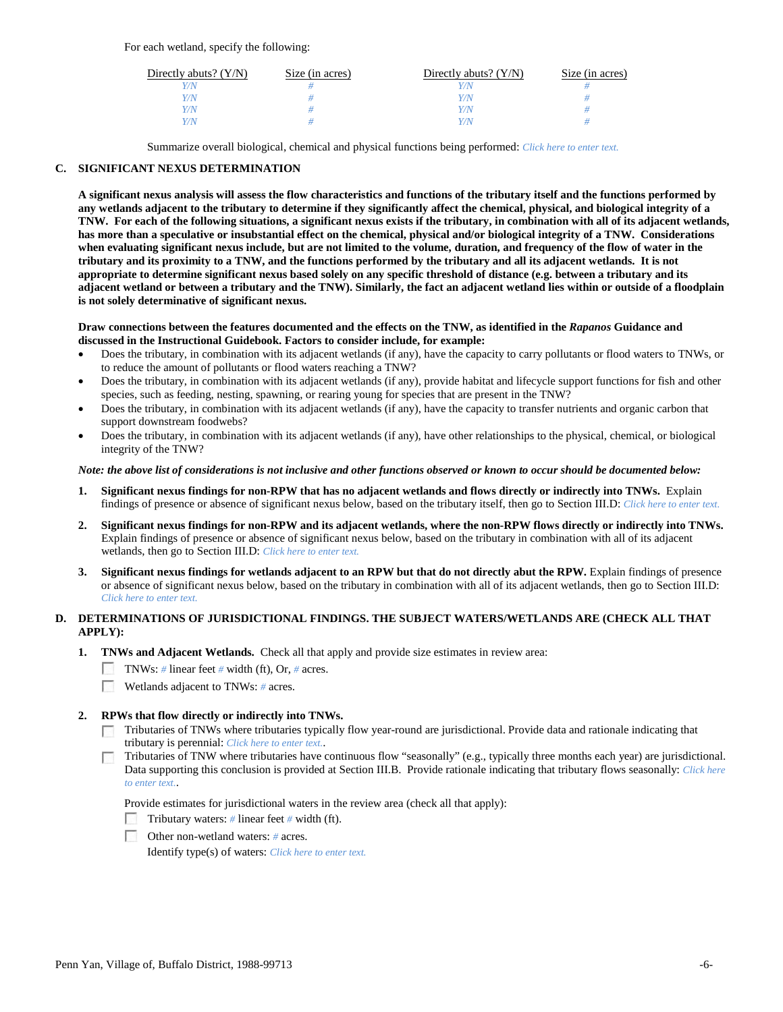For each wetland, specify the following:

| Directly abuts? $(Y/N)$ | Size (in acres) | Directly abuts? $(Y/N)$ | Size (in acres) |
|-------------------------|-----------------|-------------------------|-----------------|
|                         |                 |                         |                 |
| V/N                     |                 | Y/N                     |                 |
| V/N                     |                 | Y/N                     |                 |
|                         |                 | Y/N                     |                 |

Summarize overall biological, chemical and physical functions being performed: *Click here to enter text.*

### **C. SIGNIFICANT NEXUS DETERMINATION**

**A significant nexus analysis will assess the flow characteristics and functions of the tributary itself and the functions performed by any wetlands adjacent to the tributary to determine if they significantly affect the chemical, physical, and biological integrity of a TNW. For each of the following situations, a significant nexus exists if the tributary, in combination with all of its adjacent wetlands, has more than a speculative or insubstantial effect on the chemical, physical and/or biological integrity of a TNW. Considerations when evaluating significant nexus include, but are not limited to the volume, duration, and frequency of the flow of water in the tributary and its proximity to a TNW, and the functions performed by the tributary and all its adjacent wetlands. It is not appropriate to determine significant nexus based solely on any specific threshold of distance (e.g. between a tributary and its adjacent wetland or between a tributary and the TNW). Similarly, the fact an adjacent wetland lies within or outside of a floodplain is not solely determinative of significant nexus.** 

#### **Draw connections between the features documented and the effects on the TNW, as identified in the** *Rapanos* **Guidance and discussed in the Instructional Guidebook. Factors to consider include, for example:**

- Does the tributary, in combination with its adjacent wetlands (if any), have the capacity to carry pollutants or flood waters to TNWs, or to reduce the amount of pollutants or flood waters reaching a TNW?
- Does the tributary, in combination with its adjacent wetlands (if any), provide habitat and lifecycle support functions for fish and other species, such as feeding, nesting, spawning, or rearing young for species that are present in the TNW?
- Does the tributary, in combination with its adjacent wetlands (if any), have the capacity to transfer nutrients and organic carbon that support downstream foodwebs?
- Does the tributary, in combination with its adjacent wetlands (if any), have other relationships to the physical, chemical, or biological integrity of the TNW?

#### *Note: the above list of considerations is not inclusive and other functions observed or known to occur should be documented below:*

- **1. Significant nexus findings for non-RPW that has no adjacent wetlands and flows directly or indirectly into TNWs.** Explain findings of presence or absence of significant nexus below, based on the tributary itself, then go to Section III.D: *Click here to enter text.*
- **2. Significant nexus findings for non-RPW and its adjacent wetlands, where the non-RPW flows directly or indirectly into TNWs.**  Explain findings of presence or absence of significant nexus below, based on the tributary in combination with all of its adjacent wetlands, then go to Section III.D: *Click here to enter text.*
- **3. Significant nexus findings for wetlands adjacent to an RPW but that do not directly abut the RPW.** Explain findings of presence or absence of significant nexus below, based on the tributary in combination with all of its adjacent wetlands, then go to Section III.D: *Click here to enter text.*

# **D. DETERMINATIONS OF JURISDICTIONAL FINDINGS. THE SUBJECT WATERS/WETLANDS ARE (CHECK ALL THAT APPLY):**

- **1. TNWs and Adjacent Wetlands.** Check all that apply and provide size estimates in review area:
	- TNWs: *#* linear feet *#* width (ft), Or, *#* acres.
	- $\sim 10$ Wetlands adjacent to TNWs: *#* acres.

### **2. RPWs that flow directly or indirectly into TNWs.**

- $\Box$  Tributaries of TNWs where tributaries typically flow year-round are jurisdictional. Provide data and rationale indicating that tributary is perennial: *Click here to enter text.*.
- Tributaries of TNW where tributaries have continuous flow "seasonally" (e.g., typically three months each year) are jurisdictional. Data supporting this conclusion is provided at Section III.B. Provide rationale indicating that tributary flows seasonally: *Click here to enter text.*.

Provide estimates for jurisdictional waters in the review area (check all that apply):

- Tributary waters: *#* linear feet *#* width (ft).
- Other non-wetland waters: *#* acres.

Identify type(s) of waters: *Click here to enter text.*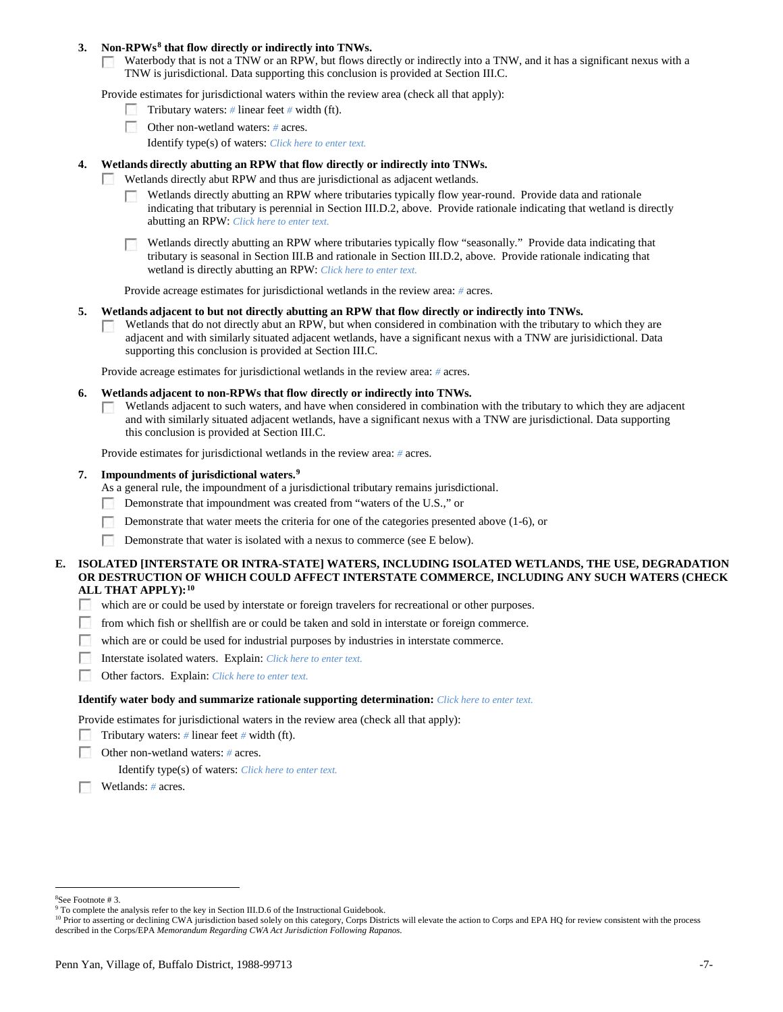#### **3. Non-RPWs[8](#page-6-0) that flow directly or indirectly into TNWs.**

Waterbody that is not a TNW or an RPW, but flows directly or indirectly into a TNW, and it has a significant nexus with a **COM** TNW is jurisdictional. Data supporting this conclusion is provided at Section III.C.

Provide estimates for jurisdictional waters within the review area (check all that apply):

- Tributary waters: *#* linear feet *#* width (ft).
- Other non-wetland waters: *#* acres.
	- Identify type(s) of waters: *Click here to enter text.*

#### **4. Wetlands directly abutting an RPW that flow directly or indirectly into TNWs.**

- **Barbara** Wetlands directly abut RPW and thus are jurisdictional as adjacent wetlands.
	- Wetlands directly abutting an RPW where tributaries typically flow year-round. Provide data and rationale indicating that tributary is perennial in Section III.D.2, above. Provide rationale indicating that wetland is directly abutting an RPW: *Click here to enter text.*

Wetlands directly abutting an RPW where tributaries typically flow "seasonally." Provide data indicating that tributary is seasonal in Section III.B and rationale in Section III.D.2, above. Provide rationale indicating that wetland is directly abutting an RPW: *Click here to enter text.*

Provide acreage estimates for jurisdictional wetlands in the review area: *#* acres.

### **5. Wetlands adjacent to but not directly abutting an RPW that flow directly or indirectly into TNWs.**

Wetlands that do not directly abut an RPW, but when considered in combination with the tributary to which they are P. adjacent and with similarly situated adjacent wetlands, have a significant nexus with a TNW are jurisidictional. Data supporting this conclusion is provided at Section III.C.

Provide acreage estimates for jurisdictional wetlands in the review area: *#* acres.

- **6. Wetlands adjacent to non-RPWs that flow directly or indirectly into TNWs.** 
	- Wetlands adjacent to such waters, and have when considered in combination with the tributary to which they are adjacent  $\sim$ and with similarly situated adjacent wetlands, have a significant nexus with a TNW are jurisdictional. Data supporting this conclusion is provided at Section III.C.

Provide estimates for jurisdictional wetlands in the review area: *#* acres.

### **7. Impoundments of jurisdictional waters. [9](#page-6-1)**

As a general rule, the impoundment of a jurisdictional tributary remains jurisdictional.

- Demonstrate that impoundment was created from "waters of the U.S.," or
- Demonstrate that water meets the criteria for one of the categories presented above (1-6), or
- Г Demonstrate that water is isolated with a nexus to commerce (see E below).

### **E. ISOLATED [INTERSTATE OR INTRA-STATE] WATERS, INCLUDING ISOLATED WETLANDS, THE USE, DEGRADATION OR DESTRUCTION OF WHICH COULD AFFECT INTERSTATE COMMERCE, INCLUDING ANY SUCH WATERS (CHECK ALL THAT APPLY):[10](#page-6-2)**

- which are or could be used by interstate or foreign travelers for recreational or other purposes.
- **1999** from which fish or shellfish are or could be taken and sold in interstate or foreign commerce.
- $\mathcal{N}_{\rm eff}$ which are or could be used for industrial purposes by industries in interstate commerce.
- **1999** Interstate isolated waters.Explain: *Click here to enter text.*
- $\sim$ Other factors.Explain: *Click here to enter text.*

#### **Identify water body and summarize rationale supporting determination:** *Click here to enter text.*

Provide estimates for jurisdictional waters in the review area (check all that apply):

- Tributary waters: *#* linear feet *#* width (ft).
- Е Other non-wetland waters: *#* acres.

Identify type(s) of waters: *Click here to enter text.*

Wetlands: *#* acres.

 $\frac{1}{8}$ 

<span id="page-6-0"></span><sup>&</sup>lt;sup>8</sup>See Footnote # 3.<br><sup>9</sup> To complete the analysis refer to the key in Section III.D.6 of the Instructional Guidebook.

<span id="page-6-2"></span><span id="page-6-1"></span><sup>&</sup>lt;sup>10</sup> Prior to asserting or declining CWA jurisdiction based solely on this category, Corps Districts will elevate the action to Corps and EPA HQ for review consistent with the process described in the Corps/EPA *Memorandum Regarding CWA Act Jurisdiction Following Rapanos.*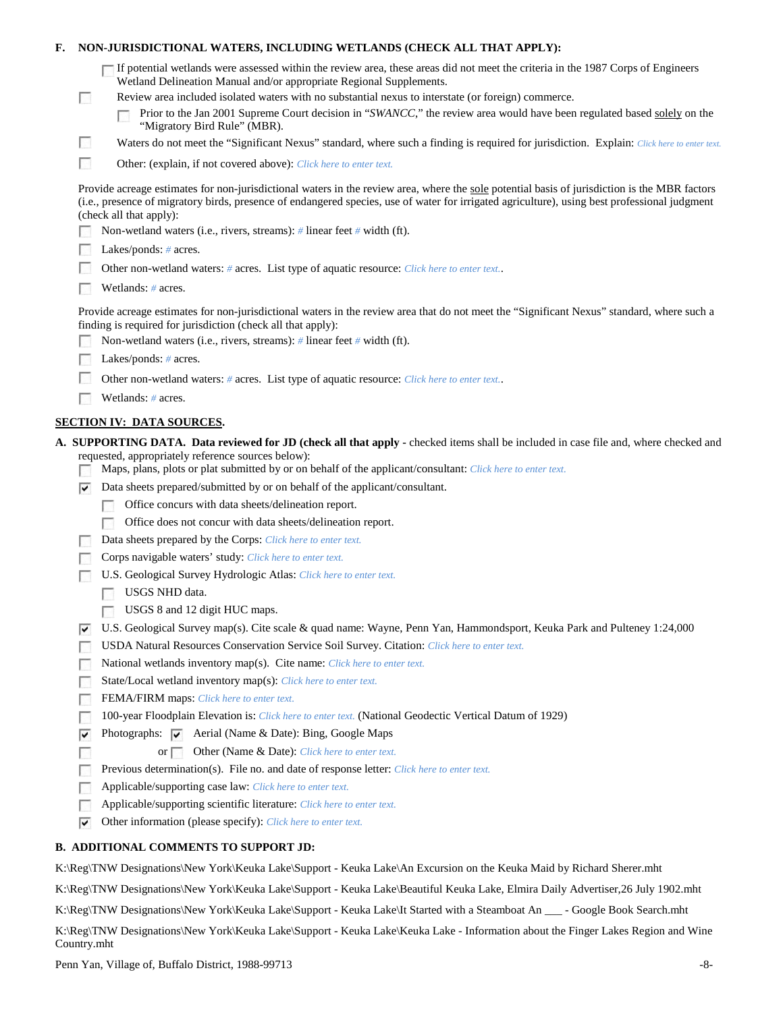| F. |                    | NON-JURISDICTIONAL WATERS, INCLUDING WETLANDS (CHECK ALL THAT APPLY):                                                                                                                                                                                                                                                                                                                                                                            |
|----|--------------------|--------------------------------------------------------------------------------------------------------------------------------------------------------------------------------------------------------------------------------------------------------------------------------------------------------------------------------------------------------------------------------------------------------------------------------------------------|
|    | <b>FRI</b>         | $\Box$ If potential wetlands were assessed within the review area, these areas did not meet the criteria in the 1987 Corps of Engineers<br>Wetland Delineation Manual and/or appropriate Regional Supplements.<br>Review area included isolated waters with no substantial nexus to interstate (or foreign) commerce.<br>Prior to the Jan 2001 Supreme Court decision in "SWANCC," the review area would have been regulated based solely on the |
|    | $\mathbf{r}$       | "Migratory Bird Rule" (MBR).<br>Waters do not meet the "Significant Nexus" standard, where such a finding is required for jurisdiction. Explain: Click here to enter text.                                                                                                                                                                                                                                                                       |
|    | г                  |                                                                                                                                                                                                                                                                                                                                                                                                                                                  |
|    |                    | Other: (explain, if not covered above): Click here to enter text.                                                                                                                                                                                                                                                                                                                                                                                |
|    |                    | Provide acreage estimates for non-jurisdictional waters in the review area, where the sole potential basis of jurisdiction is the MBR factors<br>(i.e., presence of migratory birds, presence of endangered species, use of water for irrigated agriculture), using best professional judgment<br>(check all that apply):                                                                                                                        |
|    |                    | Non-wetland waters (i.e., rivers, streams): $\#$ linear feet $\#$ width (ft).                                                                                                                                                                                                                                                                                                                                                                    |
|    |                    | Lakes/ponds: $# \, \text{acres.}$                                                                                                                                                                                                                                                                                                                                                                                                                |
|    |                    | Other non-wetland waters: # acres. List type of aquatic resource: Click here to enter text                                                                                                                                                                                                                                                                                                                                                       |
|    |                    | Wetlands: $#$ acres.                                                                                                                                                                                                                                                                                                                                                                                                                             |
|    |                    | Provide acreage estimates for non-jurisdictional waters in the review area that do not meet the "Significant Nexus" standard, where such a<br>finding is required for jurisdiction (check all that apply):                                                                                                                                                                                                                                       |
|    |                    | Non-wetland waters (i.e., rivers, streams): $\#$ linear feet $\#$ width (ft).                                                                                                                                                                                                                                                                                                                                                                    |
|    |                    | Lakes/ponds: $# \, \text{acres.}$                                                                                                                                                                                                                                                                                                                                                                                                                |
|    |                    | Other non-wetland waters: # acres. List type of aquatic resource: Click here to enter text                                                                                                                                                                                                                                                                                                                                                       |
|    |                    | Wetlands: # acres.                                                                                                                                                                                                                                                                                                                                                                                                                               |
|    |                    | <b>SECTION IV: DATA SOURCES.</b>                                                                                                                                                                                                                                                                                                                                                                                                                 |
|    |                    | A. SUPPORTING DATA. Data reviewed for JD (check all that apply - checked items shall be included in case file and, where checked and<br>requested, appropriately reference sources below):<br>Maps, plans, plots or plat submitted by or on behalf of the applicant/consultant: Click here to enter text.                                                                                                                                        |
|    | V                  | Data sheets prepared/submitted by or on behalf of the applicant/consultant.                                                                                                                                                                                                                                                                                                                                                                      |
|    |                    | Office concurs with data sheets/delineation report.<br>Office does not concur with data sheets/delineation report.                                                                                                                                                                                                                                                                                                                               |
|    |                    | <b>Barbara</b><br>Data sheets prepared by the Corps: Click here to enter text.                                                                                                                                                                                                                                                                                                                                                                   |
|    |                    | Corps navigable waters' study: Click here to enter text.                                                                                                                                                                                                                                                                                                                                                                                         |
|    |                    | U.S. Geological Survey Hydrologic Atlas: Click here to enter text.                                                                                                                                                                                                                                                                                                                                                                               |
|    |                    | USGS NHD data.                                                                                                                                                                                                                                                                                                                                                                                                                                   |
|    |                    | USGS 8 and 12 digit HUC maps.                                                                                                                                                                                                                                                                                                                                                                                                                    |
|    | է                  | U.S. Geological Survey map(s). Cite scale & quad name: Wayne, Penn Yan, Hammondsport, Keuka Park and Pulteney 1:24,000                                                                                                                                                                                                                                                                                                                           |
|    |                    | USDA Natural Resources Conservation Service Soil Survey. Citation: Click here to enter text.                                                                                                                                                                                                                                                                                                                                                     |
|    |                    | National wetlands inventory map(s). Cite name: Click here to enter text.                                                                                                                                                                                                                                                                                                                                                                         |
|    | $\sim$             | State/Local wetland inventory map(s): Click here to enter text.                                                                                                                                                                                                                                                                                                                                                                                  |
|    |                    | FEMA/FIRM maps: Click here to enter text.                                                                                                                                                                                                                                                                                                                                                                                                        |
|    |                    | 100-year Floodplain Elevation is: Click here to enter text. (National Geodectic Vertical Datum of 1929)                                                                                                                                                                                                                                                                                                                                          |
|    | ⊽                  | Photographs: $\overline{\smile}$ Aerial (Name & Date): Bing, Google Maps                                                                                                                                                                                                                                                                                                                                                                         |
|    | г                  | Other (Name & Date): Click here to enter text.<br>or $\Box$                                                                                                                                                                                                                                                                                                                                                                                      |
|    |                    | Previous determination(s). File no. and date of response letter: Click here to enter text.                                                                                                                                                                                                                                                                                                                                                       |
|    | $\sim$             | Applicable/supporting case law: Click here to enter text.                                                                                                                                                                                                                                                                                                                                                                                        |
|    | <b>Participate</b> | Applicable/supporting scientific literature: Click here to enter text.                                                                                                                                                                                                                                                                                                                                                                           |
|    | ▽                  | Other information (please specify): Click here to enter text.                                                                                                                                                                                                                                                                                                                                                                                    |
|    |                    | <b>B. ADDITIONAL COMMENTS TO SUPPORT JD:</b>                                                                                                                                                                                                                                                                                                                                                                                                     |
|    |                    | K:\Reg\TNW Designations\New York\Keuka Lake\Support - Keuka Lake\An Excursion on the Keuka Maid by Richard Sherer.mht                                                                                                                                                                                                                                                                                                                            |
|    |                    | K:\Reg\TNW Designations\New York\Keuka Lake\Support - Keuka Lake\Beautiful Keuka Lake, Elmira Daily Advertiser,26 July 1902.mht                                                                                                                                                                                                                                                                                                                  |
|    |                    |                                                                                                                                                                                                                                                                                                                                                                                                                                                  |

K:\Reg\TNW Designations\New York\Keuka Lake\Support - Keuka Lake\It Started with a Steamboat An \_\_\_ - Google Book Search.mht

K:\Reg\TNW Designations\New York\Keuka Lake\Support - Keuka Lake\Keuka Lake - Information about the Finger Lakes Region and Wine Country.mht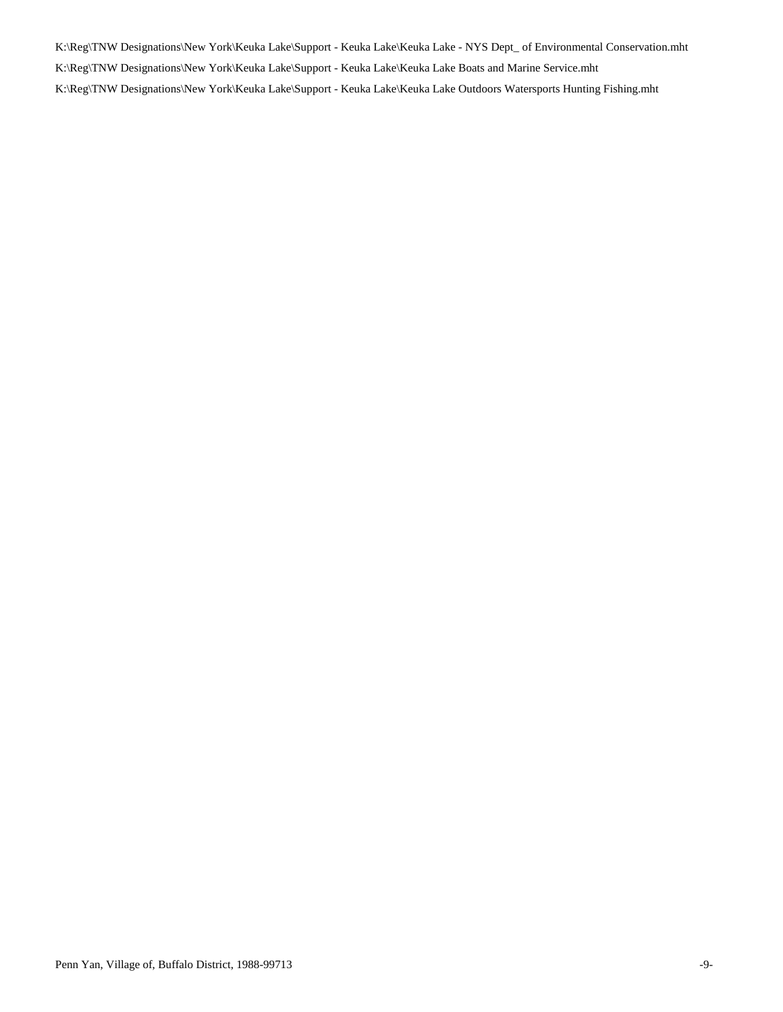K:\Reg\TNW Designations\New York\Keuka Lake\Support - Keuka Lake\Keuka Lake - NYS Dept\_ of Environmental Conservation.mht K:\Reg\TNW Designations\New York\Keuka Lake\Support - Keuka Lake\Keuka Lake Boats and Marine Service.mht K:\Reg\TNW Designations\New York\Keuka Lake\Support - Keuka Lake\Keuka Lake Outdoors Watersports Hunting Fishing.mht